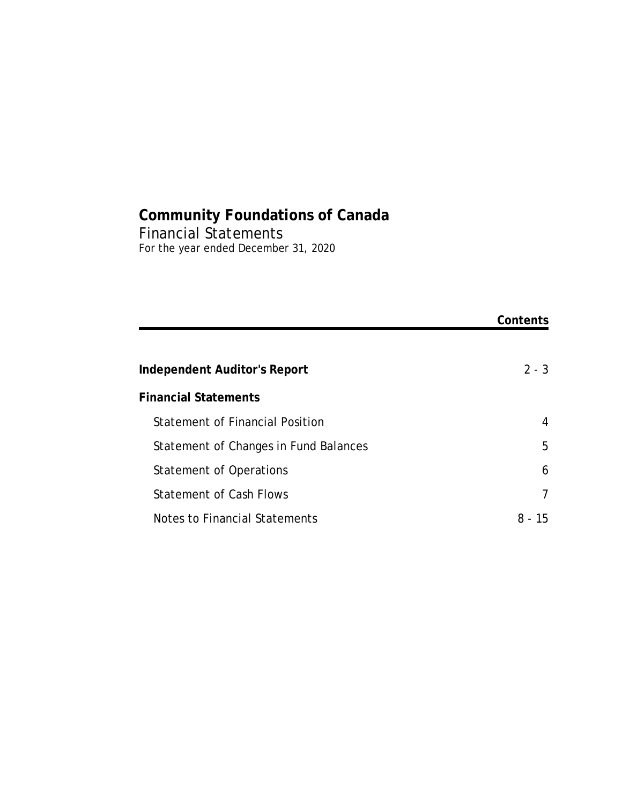## **Community Foundations of Canada** Financial Statements For the year ended December 31, 2020

|                                        | Contents  |
|----------------------------------------|-----------|
|                                        |           |
| Independent Auditor's Report           | $2 - 3$   |
| <b>Financial Statements</b>            |           |
| <b>Statement of Financial Position</b> | 4         |
| Statement of Changes in Fund Balances  | 5         |
| Statement of Operations                | 6         |
| <b>Statement of Cash Flows</b>         | 7         |
| Notes to Financial Statements          | 8 -<br>15 |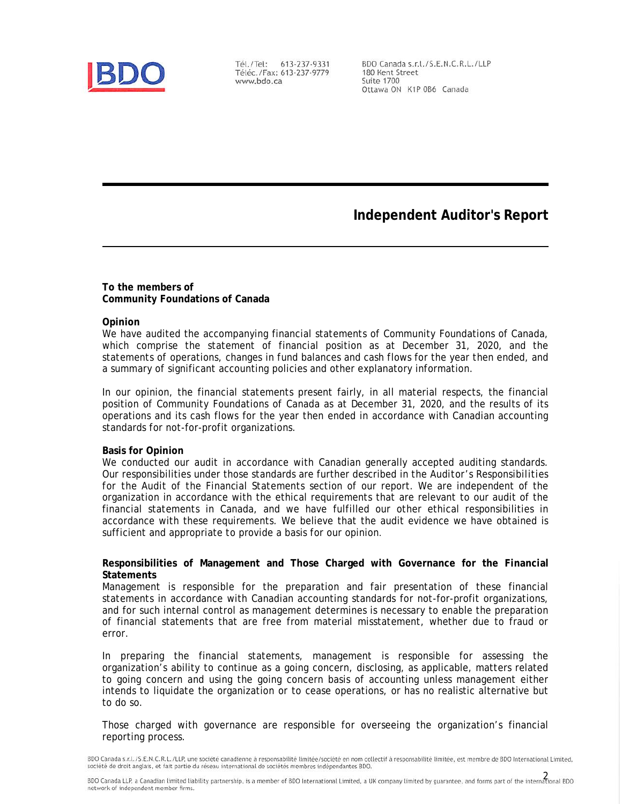

Tél./Tel: 613-237-9331 Téléc./Fax: 613-237-9779 www.bdo.ca

BDO Canada s.r.l./S.E.N.C.R.L./LLP 180 Kent Street **Suite 1700** Ottawa ON K1P 0B6 Canada

**Independent Auditor's Report**

**To the members of Community Foundations of Canada**

#### **Opinion**

We have audited the accompanying financial statements of Community Foundations of Canada, which comprise the statement of financial position as at December 31, 2020, and the statements of operations, changes in fund balances and cash flows for the year then ended, and a summary of significant accounting policies and other explanatory information.

In our opinion, the financial statements present fairly, in all material respects, the financial position of Community Foundations of Canada as at December 31, 2020, and the results of its operations and its cash flows for the year then ended in accordance with Canadian accounting standards for not-for-profit organizations.

#### **Basis for Opinion**

We conducted our audit in accordance with Canadian generally accepted auditing standards. Our responsibilities under those standards are further described in the *Auditor's Responsibilities for the Audit of the Financial Statements* section of our report. We are independent of the organization in accordance with the ethical requirements that are relevant to our audit of the financial statements in Canada, and we have fulfilled our other ethical responsibilities in accordance with these requirements. We believe that the audit evidence we have obtained is sufficient and appropriate to provide a basis for our opinion.

**Responsibilities of Management and Those Charged with Governance for the Financial Statements**

Management is responsible for the preparation and fair presentation of these financial statements in accordance with Canadian accounting standards for not-for-profit organizations, and for such internal control as management determines is necessary to enable the preparation of financial statements that are free from material misstatement, whether due to fraud or error.

In preparing the financial statements, management is responsible for assessing the organization's ability to continue as a going concern, disclosing, as applicable, matters related to going concern and using the going concern basis of accounting unless management either intends to liquidate the organization or to cease operations, or has no realistic alternative but to do so.

Those charged with governance are responsible for overseeing the organization's financial reporting process.

BDO Canada s.r.l./S.E.N.C.R.L./LLP, une société canadienne à responsabilité limitée/société en nom collectif à responsabilité limitée, est membre de BDO International Limited, société de droit anglais, et fait partie du réseau international de sociétés membres indépendantes BDO.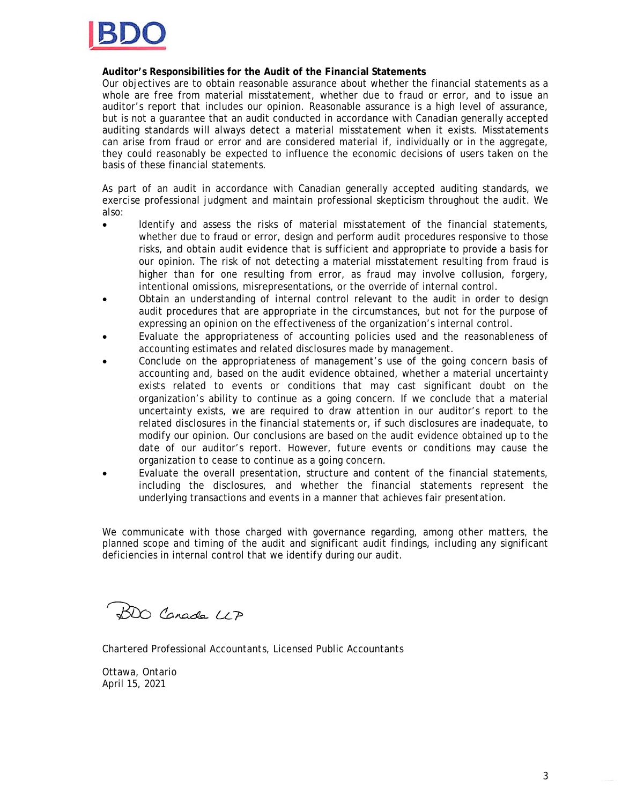

**Auditor's Responsibilities for the Audit of the Financial Statements**

Our objectives are to obtain reasonable assurance about whether the financial statements as a whole are free from material misstatement, whether due to fraud or error, and to issue an auditor's report that includes our opinion. Reasonable assurance is a high level of assurance, but is not a guarantee that an audit conducted in accordance with Canadian generally accepted auditing standards will always detect a material misstatement when it exists. Misstatements can arise from fraud or error and are considered material if, individually or in the aggregate, they could reasonably be expected to influence the economic decisions of users taken on the basis of these financial statements.

As part of an audit in accordance with Canadian generally accepted auditing standards, we exercise professional judgment and maintain professional skepticism throughout the audit. We also:

- · Identify and assess the risks of material misstatement of the financial statements, whether due to fraud or error, design and perform audit procedures responsive to those risks, and obtain audit evidence that is sufficient and appropriate to provide a basis for our opinion. The risk of not detecting a material misstatement resulting from fraud is higher than for one resulting from error, as fraud may involve collusion, forgery, intentional omissions, misrepresentations, or the override of internal control.
- · Obtain an understanding of internal control relevant to the audit in order to design audit procedures that are appropriate in the circumstances, but not for the purpose of expressing an opinion on the effectiveness of the organization's internal control.
- Evaluate the appropriateness of accounting policies used and the reasonableness of accounting estimates and related disclosures made by management.
- Conclude on the appropriateness of management's use of the going concern basis of accounting and, based on the audit evidence obtained, whether a material uncertainty exists related to events or conditions that may cast significant doubt on the organization's ability to continue as a going concern. If we conclude that a material uncertainty exists, we are required to draw attention in our auditor's report to the related disclosures in the financial statements or, if such disclosures are inadequate, to modify our opinion. Our conclusions are based on the audit evidence obtained up to the date of our auditor's report. However, future events or conditions may cause the organization to cease to continue as a going concern.
- · Evaluate the overall presentation, structure and content of the financial statements, including the disclosures, and whether the financial statements represent the underlying transactions and events in a manner that achieves fair presentation.

We communicate with those charged with governance regarding, among other matters, the planned scope and timing of the audit and significant audit findings, including any significant deficiencies in internal control that we identify during our audit.

BDO Conada LLP

Chartered Professional Accountants, Licensed Public Accountants

Ottawa, Ontario April 15, 2021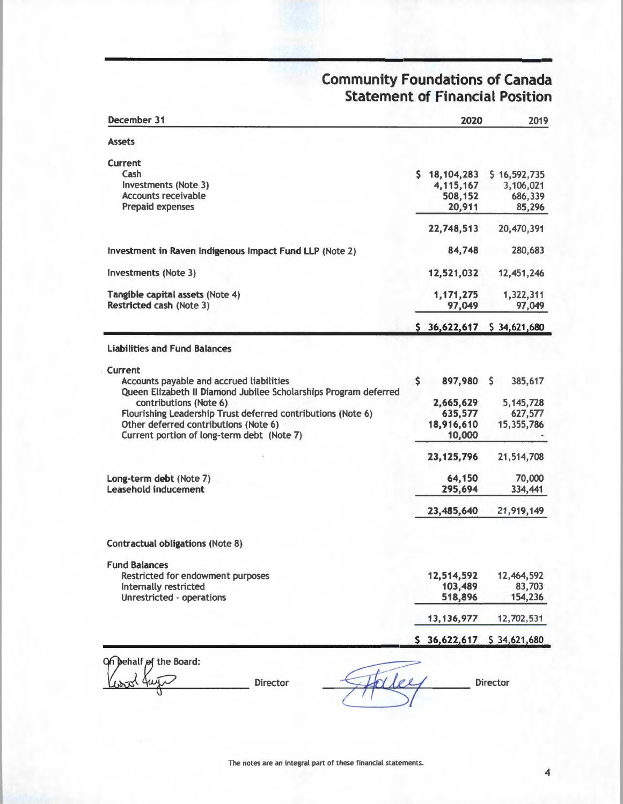## **Community Foundations of Canada Statement of Financial Position**

| December 31                                                                                                                                                                                                                                                                                              | 2020                                                          |    | 2019                                            |
|----------------------------------------------------------------------------------------------------------------------------------------------------------------------------------------------------------------------------------------------------------------------------------------------------------|---------------------------------------------------------------|----|-------------------------------------------------|
| <b>Assets</b>                                                                                                                                                                                                                                                                                            |                                                               |    |                                                 |
| <b>Current</b><br>Cash<br>Investments (Note 3)<br><b>Accounts receivable</b><br><b>Prepaid expenses</b>                                                                                                                                                                                                  | \$18,104,283<br>4,115,167<br>508,152<br>20,911                |    | \$16,592,735<br>3,106,021<br>686,339<br>85,296  |
|                                                                                                                                                                                                                                                                                                          | 22,748,513                                                    |    | 20,470,391                                      |
| Investment in Raven Indigenous Impact Fund LLP (Note 2)                                                                                                                                                                                                                                                  | 84,748                                                        |    | 280,683                                         |
| <b>Investments (Note 3)</b>                                                                                                                                                                                                                                                                              | 12,521,032                                                    |    | 12,451,246                                      |
| Tangible capital assets (Note 4)<br><b>Restricted cash (Note 3)</b>                                                                                                                                                                                                                                      | 1,171,275<br>97,049                                           |    | 1,322,311<br>97,049                             |
|                                                                                                                                                                                                                                                                                                          | \$36,622,617\$534,621,680                                     |    |                                                 |
| <b>Liabilities and Fund Balances</b>                                                                                                                                                                                                                                                                     |                                                               |    |                                                 |
| Current<br>Accounts payable and accrued liabilities<br>Queen Elizabeth II Diamond Jubilee Scholarships Program deferred<br>contributions (Note 6)<br>Flourishing Leadership Trust deferred contributions (Note 6)<br>Other deferred contributions (Note 6)<br>Current portion of long-term debt (Note 7) | \$<br>897,980<br>2,665,629<br>635,577<br>18,916,610<br>10,000 | S. | 385,617<br>5, 145, 728<br>627,577<br>15,355,786 |
|                                                                                                                                                                                                                                                                                                          | 23, 125, 796                                                  |    | 21,514,708                                      |
| Long-term debt (Note 7)<br><b>Leasehold inducement</b>                                                                                                                                                                                                                                                   | 64,150<br>295,694                                             |    | 70,000<br>334,441                               |
|                                                                                                                                                                                                                                                                                                          | 23,485,640                                                    |    | 21,919,149                                      |
| Contractual obligations (Note 8)                                                                                                                                                                                                                                                                         |                                                               |    |                                                 |
| <b>Fund Balances</b><br>Restricted for endowment purposes<br><b>Internally restricted</b><br><b>Unrestricted - operations</b>                                                                                                                                                                            | 12,514,592<br>103,489<br>518,896                              |    | 12,464,592<br>83,703<br>154,236                 |
|                                                                                                                                                                                                                                                                                                          | 13, 136, 977                                                  |    | 12,702,531                                      |
|                                                                                                                                                                                                                                                                                                          |                                                               |    | \$36,622,617\$534,621,680                       |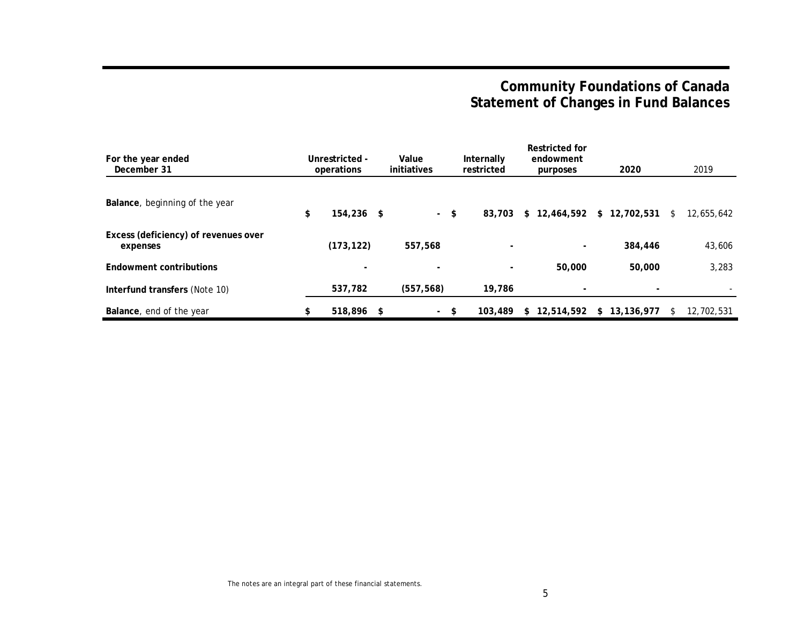# **Community Foundations of Canada Statement of Changes in Fund Balances**

| For the year ended<br>December 31                | Unrestricted -<br>operations | Value<br>initiatives |      | Internally<br>restricted | Restricted for<br>endowment<br>purposes |    | 2020                     |   | 2019       |
|--------------------------------------------------|------------------------------|----------------------|------|--------------------------|-----------------------------------------|----|--------------------------|---|------------|
| Balance, beginning of the year                   | \$<br>154,236 \$             |                      | $-5$ | 83,703                   | \$12,464,592                            |    | \$12,702,531             | S | 12,655,642 |
| Excess (deficiency) of revenues over<br>expenses | (173, 122)                   | 557,568              |      |                          |                                         |    | 384,446                  |   | 43,606     |
| Endowment contributions                          |                              |                      |      | $\overline{\phantom{a}}$ | 50,000                                  |    | 50,000                   |   | 3,283      |
| Interfund transfers (Note 10)                    | 537,782                      | (557, 568)           |      | 19,786                   |                                         |    | $\overline{\phantom{a}}$ |   |            |
| Balance, end of the year                         | \$<br>518,896 \$             | $\sim$               | -\$  | 103,489                  | \$12,514,592                            | S. | 13,136,977               | S | 12,702,531 |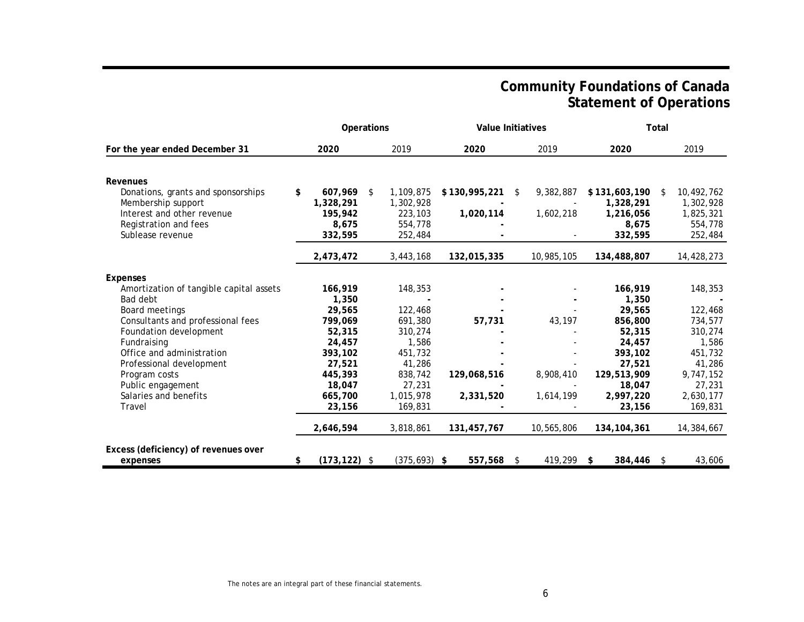## **Community Foundations of Canada Statement of Operations**

|                                         | Operations            |                 | Value Initiatives |                            |                   | Total              |
|-----------------------------------------|-----------------------|-----------------|-------------------|----------------------------|-------------------|--------------------|
| For the year ended December 31          | 2020                  | 2019            | 2020              | 2019                       | 2020              | 2019               |
|                                         |                       |                 |                   |                            |                   |                    |
| Revenues                                |                       |                 |                   |                            |                   |                    |
| Donations, grants and sponsorships      | \$<br>$607.969$ \$    | 1,109,875       | \$130,995,221     | 9,382,887<br><sup>\$</sup> | $$131,603,190$ \$ | 10,492,762         |
| Membership support                      | 1,328,291             | 1,302,928       |                   |                            | 1,328,291         | 1,302,928          |
| Interest and other revenue              | 195,942               | 223,103         | 1,020,114         | 1,602,218                  | 1,216,056         | 1,825,321          |
| Registration and fees                   | 8,675                 | 554,778         |                   |                            | 8.675             | 554,778            |
| Sublease revenue                        | 332,595               | 252,484         |                   |                            | 332,595           | 252,484            |
|                                         | 2,473,472             | 3,443,168       | 132,015,335       | 10,985,105                 | 134,488,807       | 14,428,273         |
| Expenses                                |                       |                 |                   |                            |                   |                    |
| Amortization of tangible capital assets | 166,919               | 148,353         |                   |                            | 166,919           | 148,353            |
| Bad debt                                | 1,350                 |                 |                   |                            | 1,350             |                    |
| Board meetings                          | 29.565                | 122,468         |                   |                            | 29.565            | 122,468            |
| Consultants and professional fees       | 799,069               | 691,380         | 57,731            | 43,197                     | 856,800           | 734,577            |
| Foundation development                  | 52,315                | 310,274         |                   |                            | 52,315            | 310,274            |
| Fundraising                             | 24,457                | 1,586           |                   |                            | 24,457            | 1,586              |
| Office and administration               | 393,102               | 451,732         |                   |                            | 393,102           | 451,732            |
| Professional development                | 27,521                | 41,286          |                   |                            | 27.521            | 41,286             |
| Program costs                           | 445,393               | 838,742         | 129,068,516       | 8,908,410                  | 129,513,909       | 9,747,152          |
| Public engagement                       | 18.047                | 27,231          |                   |                            | 18.047            | 27,231             |
| Salaries and benefits                   | 665,700               | 1,015,978       | 2,331,520         | 1,614,199                  | 2,997,220         | 2,630,177          |
| Travel                                  | 23,156                | 169,831         |                   |                            | 23,156            | 169,831            |
|                                         | 2,646,594             | 3,818,861       | 131,457,767       | 10,565,806                 | 134, 104, 361     | 14,384,667         |
| Excess (deficiency) of revenues over    |                       |                 |                   |                            |                   |                    |
| expenses                                | \$<br>$(173, 122)$ \$ | $(375, 693)$ \$ | 557,568           | \$<br>419,299              | \$<br>384,446     | 43,606<br><b>S</b> |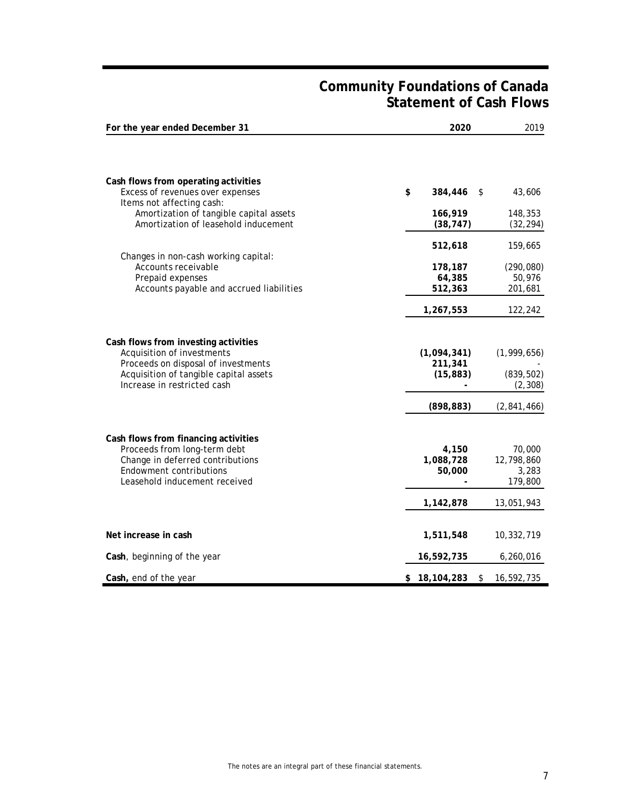## **Community Foundations of Canada Statement of Cash Flows**

| For the year ended December 31                                                                                                                                                     | 2020                                | 2019                                     |
|------------------------------------------------------------------------------------------------------------------------------------------------------------------------------------|-------------------------------------|------------------------------------------|
|                                                                                                                                                                                    |                                     |                                          |
| Cash flows from operating activities<br>Excess of revenues over expenses<br>Items not affecting cash:                                                                              | \$<br>384,446                       | \$<br>43,606                             |
| Amortization of tangible capital assets<br>Amortization of leasehold inducement                                                                                                    | 166,919<br>(38, 747)                | 148,353<br>(32, 294)                     |
| Changes in non-cash working capital:                                                                                                                                               | 512,618                             | 159,665                                  |
| Accounts receivable<br>Prepaid expenses<br>Accounts payable and accrued liabilities                                                                                                | 178,187<br>64,385<br>512,363        | (290,080)<br>50,976<br>201,681           |
|                                                                                                                                                                                    | 1,267,553                           | 122,242                                  |
| Cash flows from investing activities<br>Acquisition of investments<br>Proceeds on disposal of investments<br>Acquisition of tangible capital assets<br>Increase in restricted cash | (1,094,341)<br>211,341<br>(15, 883) | (1,999,656)<br>(839, 502)<br>(2, 308)    |
|                                                                                                                                                                                    | (898, 883)                          | (2,841,466)                              |
| Cash flows from financing activities<br>Proceeds from long-term debt<br>Change in deferred contributions<br>Endowment contributions<br>Leasehold inducement received               | 4,150<br>1,088,728<br>50,000        | 70,000<br>12,798,860<br>3,283<br>179,800 |
|                                                                                                                                                                                    | 1,142,878                           | 13,051,943                               |
| Net increase in cash                                                                                                                                                               | 1,511,548                           | 10,332,719                               |
| Cash, beginning of the year                                                                                                                                                        | 16,592,735                          | 6,260,016                                |
| Cash, end of the year                                                                                                                                                              | \$18,104,283                        | \$<br>16,592,735                         |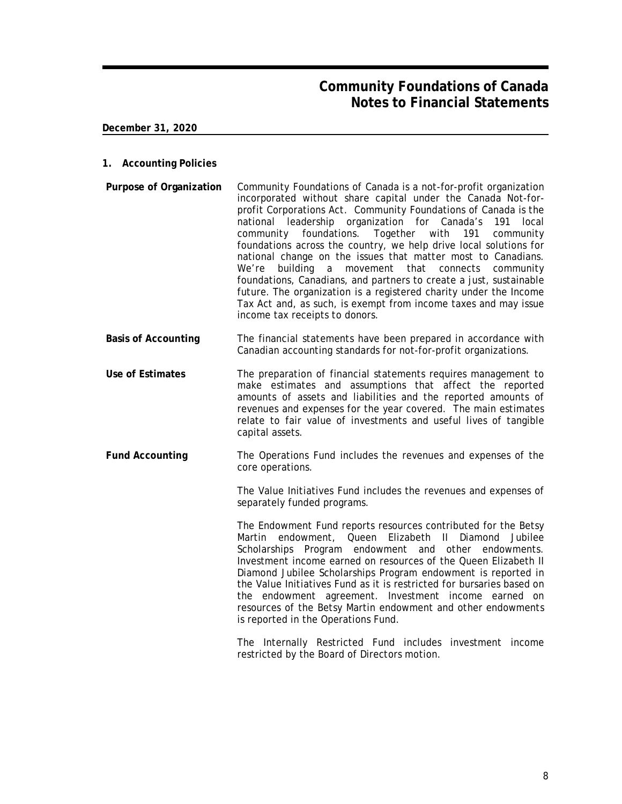#### **December 31, 2020**

### **1. Accounting Policies**

- **Purpose of Organization** Community Foundations of Canada is a not-for-profit organization incorporated without share capital under the Canada Not-forprofit Corporations Act. Community Foundations of Canada is the national leadership organization for Canada's 191 local community foundations. Together with 191 community foundations across the country, we help drive local solutions for national change on the issues that matter most to Canadians. We're building a movement that connects community foundations, Canadians, and partners to create a just, sustainable future. The organization is a registered charity under the Income Tax Act and, as such, is exempt from income taxes and may issue income tax receipts to donors.
- **Basis of Accounting** The financial statements have been prepared in accordance with Canadian accounting standards for not-for-profit organizations.
- **Use of Estimates** The preparation of financial statements requires management to make estimates and assumptions that affect the reported amounts of assets and liabilities and the reported amounts of revenues and expenses for the year covered. The main estimates relate to fair value of investments and useful lives of tangible capital assets.
- **Fund Accounting** The Operations Fund includes the revenues and expenses of the core operations.

The Value Initiatives Fund includes the revenues and expenses of separately funded programs.

The Endowment Fund reports resources contributed for the Betsy Martin endowment, Queen Elizabeth II Diamond Jubilee Scholarships Program endowment and other endowments. Investment income earned on resources of the Queen Elizabeth II Diamond Jubilee Scholarships Program endowment is reported in the Value Initiatives Fund as it is restricted for bursaries based on the endowment agreement. Investment income earned on resources of the Betsy Martin endowment and other endowments is reported in the Operations Fund.

The Internally Restricted Fund includes investment income restricted by the Board of Directors motion.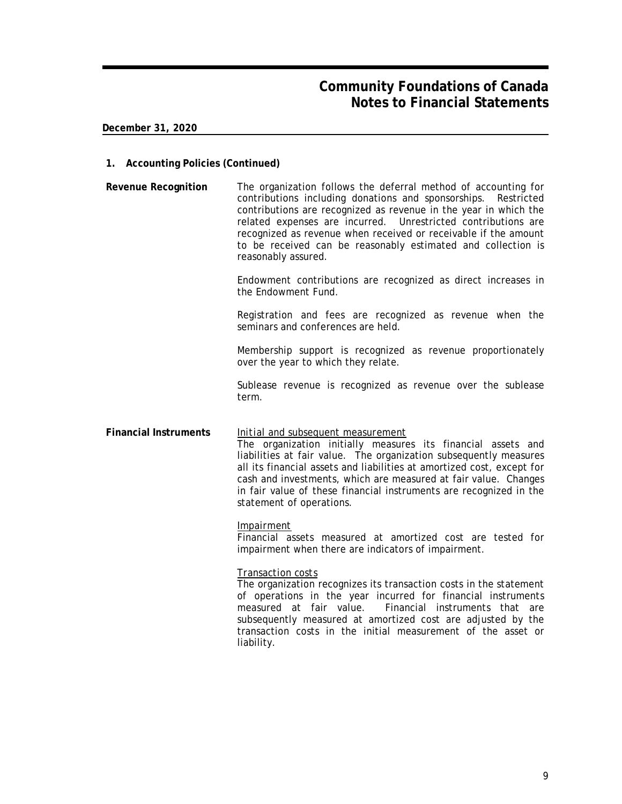**December 31, 2020**

- **1. Accounting Policies (Continued)**
- **Revenue Recognition** The organization follows the deferral method of accounting for contributions including donations and sponsorships. Restricted contributions are recognized as revenue in the year in which the related expenses are incurred. Unrestricted contributions are recognized as revenue when received or receivable if the amount to be received can be reasonably estimated and collection is reasonably assured.

Endowment contributions are recognized as direct increases in the Endowment Fund.

Registration and fees are recognized as revenue when the seminars and conferences are held.

Membership support is recognized as revenue proportionately over the year to which they relate.

Sublease revenue is recognized as revenue over the sublease term.

**Financial Instruments** *Initial and subsequent measurement* The organization initially measures its financial assets and liabilities at fair value. The organization subsequently measures all its financial assets and liabilities at amortized cost, except for cash and investments, which are measured at fair value. Changes in fair value of these financial instruments are recognized in the statement of operations.

*Impairment*

Financial assets measured at amortized cost are tested for impairment when there are indicators of impairment.

*Transaction costs*

The organization recognizes its transaction costs in the statement of operations in the year incurred for financial instruments measured at fair value. Financial instruments that are subsequently measured at amortized cost are adjusted by the transaction costs in the initial measurement of the asset or liability.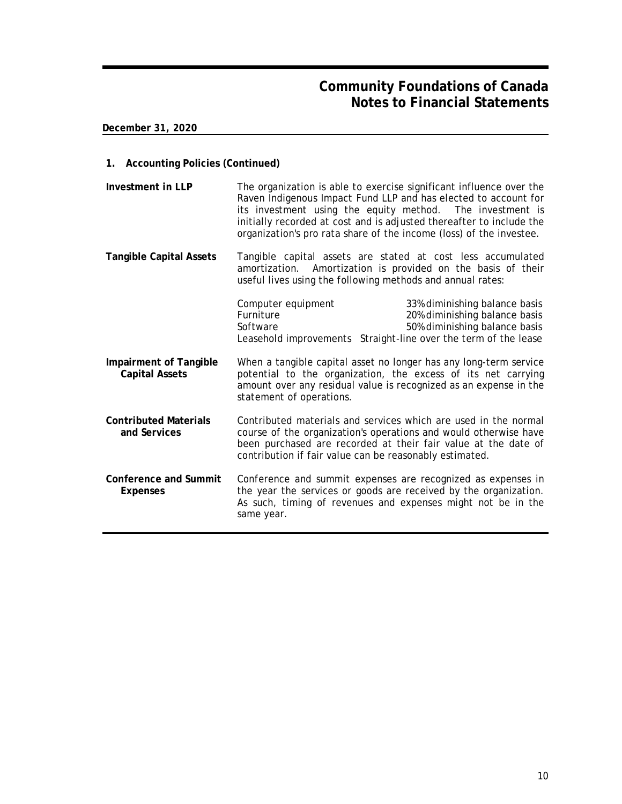**December 31, 2020**

- **1. Accounting Policies (Continued)**
- **Investment in LLP** The organization is able to exercise significant influence over the Raven Indigenous Impact Fund LLP and has elected to account for its investment using the equity method. The investment is initially recorded at cost and is adjusted thereafter to include the organization's pro rata share of the income (loss) of the investee.
- **Tangible Capital Assets** Tangible capital assets are stated at cost less accumulated amortization. Amortization is provided on the basis of their useful lives using the following methods and annual rates:

|                                              | Computer equipment<br>Furniture<br>Software             | 33% diminishing balance basis<br>20% diminishing balance basis<br>50% diminishing balance basis<br>Leasehold improvements Straight-line over the term of the lease                                      |
|----------------------------------------------|---------------------------------------------------------|---------------------------------------------------------------------------------------------------------------------------------------------------------------------------------------------------------|
| Impairment of Tangible<br>Capital Assets     | statement of operations.                                | When a tangible capital asset no longer has any long-term service<br>potential to the organization, the excess of its net carrying<br>amount over any residual value is recognized as an expense in the |
| <b>Contributed Materials</b><br>and Services | contribution if fair value can be reasonably estimated. | Contributed materials and services which are used in the normal<br>course of the organization's operations and would otherwise have<br>been purchased are recorded at their fair value at the date of   |
| Conference and Summit<br>Expenses            | same year.                                              | Conference and summit expenses are recognized as expenses in<br>the year the services or goods are received by the organization.<br>As such, timing of revenues and expenses might not be in the        |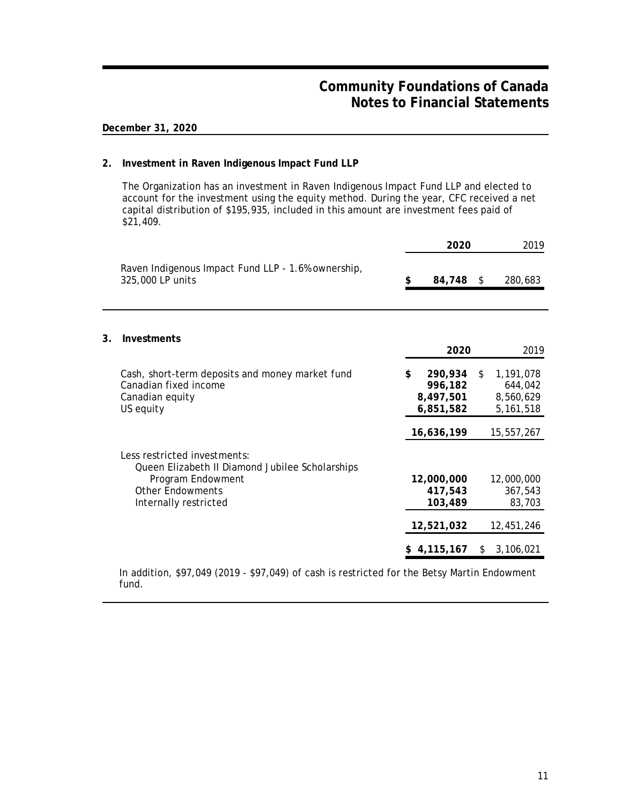## **December 31, 2020**

### **2. Investment in Raven Indigenous Impact Fund LLP**

The Organization has an investment in Raven Indigenous Impact Fund LLP and elected to account for the investment using the equity method. During the year, CFC received a net capital distribution of \$195,935, included in this amount are investment fees paid of \$21,409.

|                                                                                                                                                          | 2020                                               |                                                     | 2019                                                           |
|----------------------------------------------------------------------------------------------------------------------------------------------------------|----------------------------------------------------|-----------------------------------------------------|----------------------------------------------------------------|
| Raven Indigenous Impact Fund LLP - 1.6% ownership,<br>325,000 LP units                                                                                   | \$                                                 | - \$                                                | 280,683                                                        |
| Investments                                                                                                                                              |                                                    |                                                     | 2019                                                           |
| Cash, short-term deposits and money market fund<br>Canadian fixed income<br>Canadian equity<br>US equity                                                 | \$<br>290,934<br>996,182<br>8,497,501<br>6,851,582 | \$                                                  | 1,191,078<br>644,042<br>8,560,629<br>5, 161, 518<br>15,557,267 |
| Less restricted investments:<br>Queen Elizabeth II Diamond Jubilee Scholarships<br>Program Endowment<br><b>Other Endowments</b><br>Internally restricted | 417,543<br>103,489                                 |                                                     | 12,000,000<br>367,543<br>83,703<br>12,451,246<br>3,106,021     |
|                                                                                                                                                          | S.                                                 | 16,636,199<br>12,000,000<br>12,521,032<br>4,115,167 | 84,748<br>2020<br>S                                            |

In addition, \$97,049 (2019 - \$97,049) of cash is restricted for the Betsy Martin Endowment fund.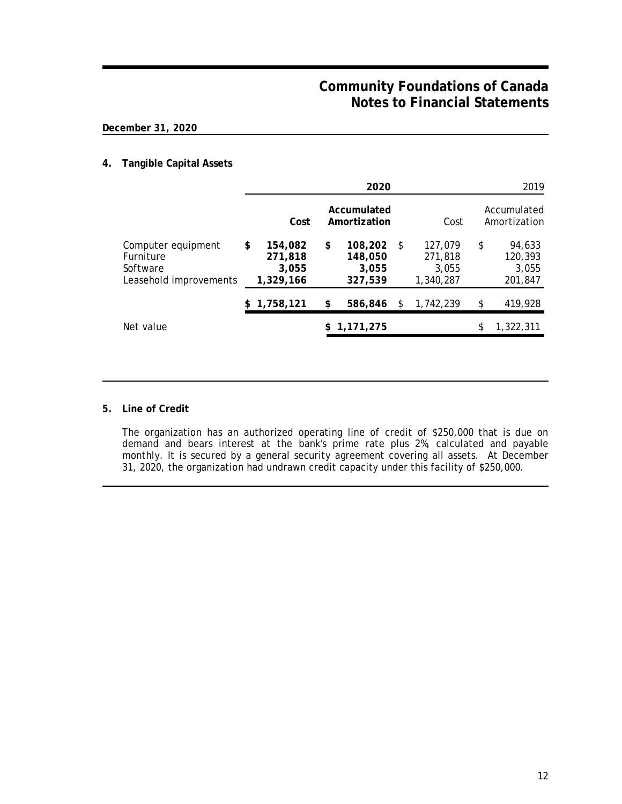## **December 31, 2020**

## **4. Tangible Capital Assets**

|                                                                              |                                                | 2020                                         |     |                                          | 2019                                        |
|------------------------------------------------------------------------------|------------------------------------------------|----------------------------------------------|-----|------------------------------------------|---------------------------------------------|
|                                                                              | Cost                                           | Accumulated<br>Amortization                  |     | Cost                                     | Accumulated<br>Amortization                 |
| Computer equipment<br><b>Furniture</b><br>Software<br>Leasehold improvements | \$<br>154,082<br>271,818<br>3,055<br>1,329,166 | \$<br>108,202<br>148,050<br>3,055<br>327,539 | -\$ | 127,079<br>271,818<br>3.055<br>1,340,287 | \$<br>94,633<br>120,393<br>3,055<br>201,847 |
|                                                                              | \$1,758,121                                    | \$<br>586,846                                | S   | 1.742.239                                | \$<br>419,928                               |
| Net value                                                                    |                                                | 1,171,275                                    |     |                                          | 1,322,311                                   |

#### **5. Line of Credit**

The organization has an authorized operating line of credit of \$250,000 that is due on demand and bears interest at the bank's prime rate plus 2%, calculated and payable monthly. It is secured by a general security agreement covering all assets. At December 31, 2020, the organization had undrawn credit capacity under this facility of \$250,000.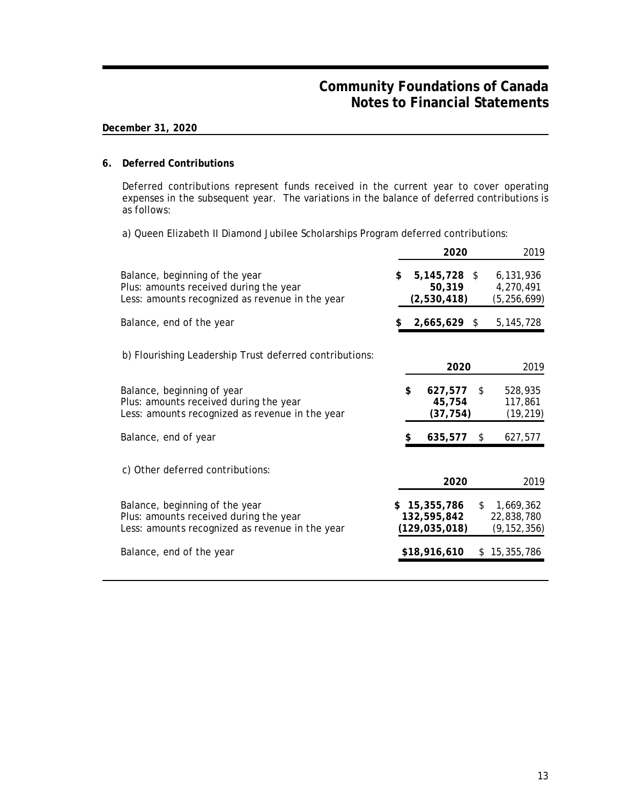### **December 31, 2020**

#### **6. Deferred Contributions**

Deferred contributions represent funds received in the current year to cover operating expenses in the subsequent year. The variations in the balance of deferred contributions is as follows:

a) Queen Elizabeth II Diamond Jubilee Scholarships Program deferred contributions:

|                                                                                                                             |     | 2020                                         |    | 2019                                     |
|-----------------------------------------------------------------------------------------------------------------------------|-----|----------------------------------------------|----|------------------------------------------|
| Balance, beginning of the year<br>Plus: amounts received during the year<br>Less: amounts recognized as revenue in the year | \$  | $5,145,728$ \$<br>50,319<br>(2,530,418)      |    | 6,131,936<br>4,270,491<br>(5, 256, 699)  |
| Balance, end of the year                                                                                                    |     | 2,665,629 \$                                 |    | 5, 145, 728                              |
| b) Flourishing Leadership Trust deferred contributions:                                                                     |     | 2020                                         |    | 2019                                     |
| Balance, beginning of year<br>Plus: amounts received during the year<br>Less: amounts recognized as revenue in the year     | \$  | 627,577<br>45,754<br>(37, 754)               | \$ | 528,935<br>117,861<br>(19, 219)          |
| Balance, end of year                                                                                                        | S   | 635,577                                      | S  | 627,577                                  |
| c) Other deferred contributions:                                                                                            |     | 2020                                         |    | 2019                                     |
| Balance, beginning of the year<br>Plus: amounts received during the year<br>Less: amounts recognized as revenue in the year | \$. | 15,355,786<br>132,595,842<br>(129, 035, 018) | \$ | 1,669,362<br>22,838,780<br>(9, 152, 356) |
| Balance, end of the year                                                                                                    |     | \$18,916,610                                 | S  | 15,355,786                               |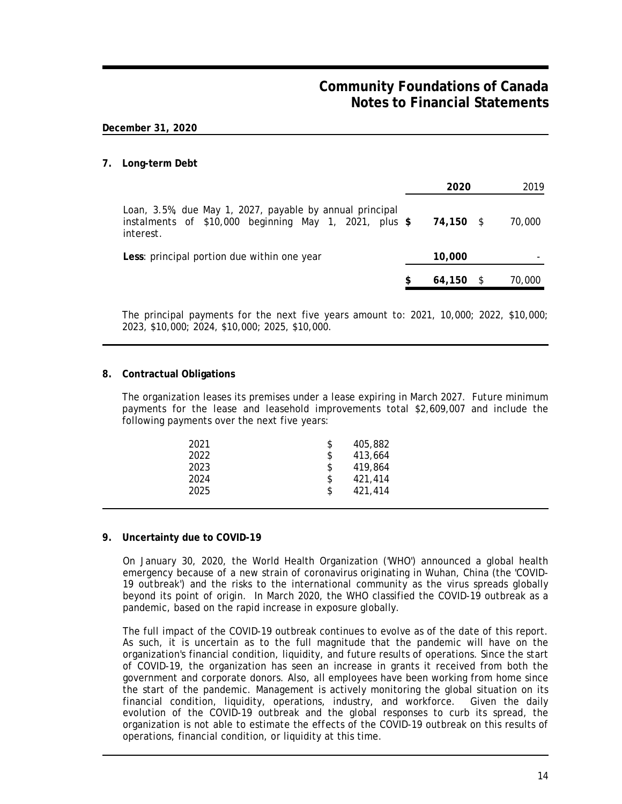### **December 31, 2020**

#### **7. Long-term Debt**

|                                                                                                                                 | 2020              | 2019   |
|---------------------------------------------------------------------------------------------------------------------------------|-------------------|--------|
| Loan, 3.5%, due May 1, 2027, payable by annual principal<br>instalments of \$10,000 beginning May 1, 2021, plus \$<br>interest. | 74.150 \$         | 70,000 |
| Less: principal portion due within one year                                                                                     | 10,000            |        |
|                                                                                                                                 | \$<br>$64.150$ \$ | 70,000 |
|                                                                                                                                 |                   |        |

The principal payments for the next five years amount to: 2021, 10,000; 2022, \$10,000; 2023, \$10,000; 2024, \$10,000; 2025, \$10,000.

#### **8. Contractual Obligations**

The organization leases its premises under a lease expiring in March 2027. Future minimum payments for the lease and leasehold improvements total \$2,609,007 and include the following payments over the next five years:

| 2021 | S.  | 405,882 |
|------|-----|---------|
| 2022 | \$. | 413,664 |
| 2023 | S.  | 419.864 |
| 2024 | S.  | 421,414 |
| 2025 | \$. | 421.414 |

### **9. Uncertainty due to COVID-19**

On January 30, 2020, the World Health Organization ('WHO') announced a global health emergency because of a new strain of coronavirus originating in Wuhan, China (the 'COVID-19 outbreak') and the risks to the international community as the virus spreads globally beyond its point of origin. In March 2020, the WHO classified the COVID-19 outbreak as a pandemic, based on the rapid increase in exposure globally.

The full impact of the COVID-19 outbreak continues to evolve as of the date of this report. As such, it is uncertain as to the full magnitude that the pandemic will have on the organization's financial condition, liquidity, and future results of operations. Since the start of COVID-19, the organization has seen an increase in grants it received from both the government and corporate donors. Also, all employees have been working from home since the start of the pandemic. Management is actively monitoring the global situation on its financial condition, liquidity, operations, industry, and workforce. Given the daily evolution of the COVID-19 outbreak and the global responses to curb its spread, the organization is not able to estimate the effects of the COVID-19 outbreak on this results of operations, financial condition, or liquidity at this time.